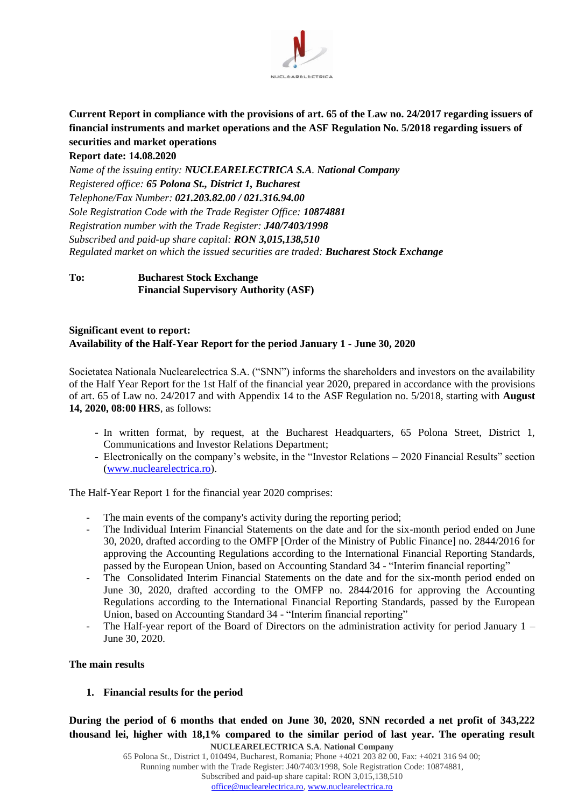

# **Current Report in compliance with the provisions of art. 65 of the Law no. 24/2017 regarding issuers of financial instruments and market operations and the ASF Regulation No. 5/2018 regarding issuers of securities and market operations**

**Report date: 14.08.2020**

*Name of the issuing entity: NUCLEARELECTRICA S.A. National Company Registered office: 65 Polona St., District 1, Bucharest Telephone/Fax Number: 021.203.82.00 / 021.316.94.00 Sole Registration Code with the Trade Register Office: 10874881 Registration number with the Trade Register: J40/7403/1998 Subscribed and paid-up share capital: RON 3,015,138,510 Regulated market on which the issued securities are traded: Bucharest Stock Exchange*

# **To: Bucharest Stock Exchange Financial Supervisory Authority (ASF)**

# **Significant event to report: Availability of the Half-Year Report for the period January 1 - June 30, 2020**

Societatea Nationala Nuclearelectrica S.A. ("SNN") informs the shareholders and investors on the availability of the Half Year Report for the 1st Half of the financial year 2020, prepared in accordance with the provisions of art. 65 of Law no. 24/2017 and with Appendix 14 to the ASF Regulation no. 5/2018, starting with **August 14, 2020, 08:00 HRS**, as follows:

- In written format, by request, at the Bucharest Headquarters, 65 Polona Street, District 1, Communications and Investor Relations Department;
- Electronically on the company's website, in the "Investor Relations 2020 Financial Results" section [\(www.nuclearelectrica.ro\)](http://www.nuclearelectrica.ro/).

The Half-Year Report 1 for the financial year 2020 comprises:

- The main events of the company's activity during the reporting period;
- The Individual Interim Financial Statements on the date and for the six-month period ended on June 30, 2020, drafted according to the OMFP [Order of the Ministry of Public Finance] no. 2844/2016 for approving the Accounting Regulations according to the International Financial Reporting Standards, passed by the European Union, based on Accounting Standard 34 - "Interim financial reporting"
- The Consolidated Interim Financial Statements on the date and for the six-month period ended on June 30, 2020, drafted according to the OMFP no. 2844/2016 for approving the Accounting Regulations according to the International Financial Reporting Standards, passed by the European Union, based on Accounting Standard 34 - "Interim financial reporting"
- The Half-year report of the Board of Directors on the administration activity for period January  $1 -$ June 30, 2020.

### **The main results**

**1. Financial results for the period**

**NUCLEARELECTRICA S.A**. **National Company During the period of 6 months that ended on June 30, 2020, SNN recorded a net profit of 343,222 thousand lei, higher with 18,1% compared to the similar period of last year. The operating result** 

65 Polona St., District 1, 010494, Bucharest, Romania; Phone +4021 203 82 00, Fax: +4021 316 94 00; Running number with the Trade Register: J40/7403/1998, Sole Registration Code: 10874881, Subscribed and paid-up share capital: RON 3,015,138,510 [office@nuclearelectrica.ro,](mailto:office@nuclearelectrica.ro) [www.nuclearelectrica.ro](http://www.nuclearelectrica.ro/)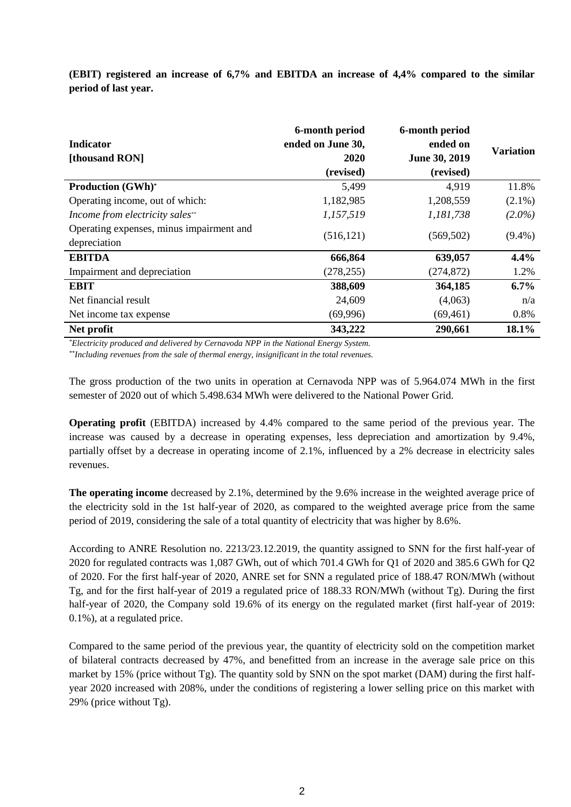**(EBIT) registered an increase of 6,7% and EBITDA an increase of 4,4% compared to the similar period of last year.**

| <b>Indicator</b><br>[thousand RON]                       | 6-month period<br>ended on June 30,<br><b>2020</b><br>(revised) | 6-month period<br>ended on<br>June 30, 2019<br>(revised) | <b>Variation</b> |
|----------------------------------------------------------|-----------------------------------------------------------------|----------------------------------------------------------|------------------|
| <b>Production (GWh)*</b>                                 | 5,499                                                           | 4,919                                                    | 11.8%            |
| Operating income, out of which:                          | 1,182,985                                                       | 1,208,559                                                | $(2.1\%)$        |
| Income from electricity sales**                          | 1,157,519                                                       | 1,181,738                                                | $(2.0\%)$        |
| Operating expenses, minus impairment and<br>depreciation | (516, 121)                                                      | (569, 502)                                               | $(9.4\%)$        |
| <b>EBITDA</b>                                            | 666,864                                                         | 639,057                                                  | 4.4%             |
| Impairment and depreciation                              | (278, 255)                                                      | (274, 872)                                               | 1.2%             |
| <b>EBIT</b>                                              | 388,609                                                         | 364,185                                                  | 6.7%             |
| Net financial result                                     | 24,609                                                          | (4,063)                                                  | n/a              |
| Net income tax expense                                   | (69,996)                                                        | (69, 461)                                                | 0.8%             |
| Net profit                                               | 343,222                                                         | 290,661                                                  | 18.1%            |

*\*Electricity produced and delivered by Cernavoda NPP in the National Energy System.*

*\*\*Including revenues from the sale of thermal energy, insignificant in the total revenues.*

The gross production of the two units in operation at Cernavoda NPP was of 5.964.074 MWh in the first semester of 2020 out of which 5.498.634 MWh were delivered to the National Power Grid.

**Operating profit** (EBITDA) increased by 4.4% compared to the same period of the previous year. The increase was caused by a decrease in operating expenses, less depreciation and amortization by 9.4%, partially offset by a decrease in operating income of 2.1%, influenced by a 2% decrease in electricity sales revenues.

**The operating income** decreased by 2.1%, determined by the 9.6% increase in the weighted average price of the electricity sold in the 1st half-year of 2020, as compared to the weighted average price from the same period of 2019, considering the sale of a total quantity of electricity that was higher by 8.6%.

According to ANRE Resolution no. 2213/23.12.2019, the quantity assigned to SNN for the first half-year of 2020 for regulated contracts was 1,087 GWh, out of which 701.4 GWh for Q1 of 2020 and 385.6 GWh for Q2 of 2020. For the first half-year of 2020, ANRE set for SNN a regulated price of 188.47 RON/MWh (without Tg, and for the first half-year of 2019 a regulated price of 188.33 RON/MWh (without Tg). During the first half-year of 2020, the Company sold 19.6% of its energy on the regulated market (first half-year of 2019: 0.1%), at a regulated price.

Compared to the same period of the previous year, the quantity of electricity sold on the competition market of bilateral contracts decreased by 47%, and benefitted from an increase in the average sale price on this market by  $15\%$  (price without Tg). The quantity sold by SNN on the spot market (DAM) during the first halfyear 2020 increased with 208%, under the conditions of registering a lower selling price on this market with 29% (price without Tg).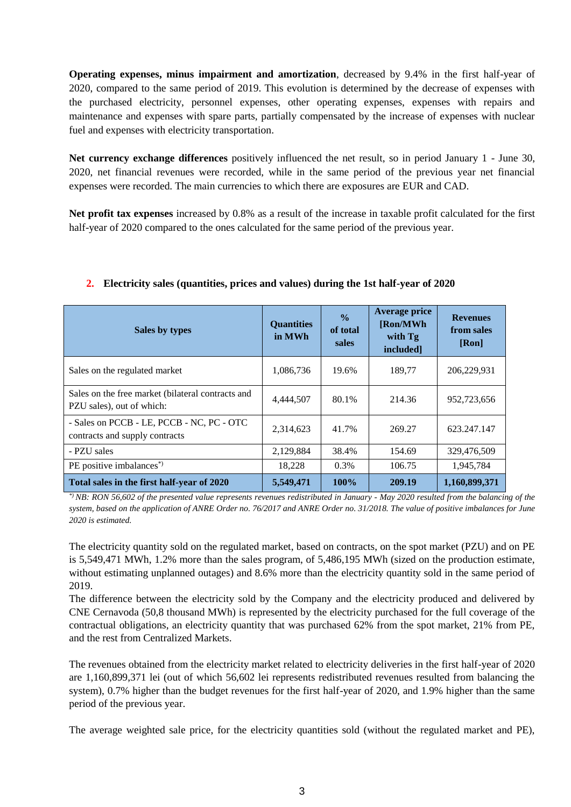**Operating expenses, minus impairment and amortization**, decreased by 9.4% in the first half-year of 2020, compared to the same period of 2019. This evolution is determined by the decrease of expenses with the purchased electricity, personnel expenses, other operating expenses, expenses with repairs and maintenance and expenses with spare parts, partially compensated by the increase of expenses with nuclear fuel and expenses with electricity transportation.

**Net currency exchange differences** positively influenced the net result, so in period January 1 - June 30, 2020, net financial revenues were recorded, while in the same period of the previous year net financial expenses were recorded. The main currencies to which there are exposures are EUR and CAD.

**Net profit tax expenses** increased by 0.8% as a result of the increase in taxable profit calculated for the first half-year of 2020 compared to the ones calculated for the same period of the previous year.

| Sales by types                                                                 | <b>Quantities</b><br>in MWh | $\frac{0}{0}$<br>of total<br>sales | <b>Average price</b><br>[Ron/MWh<br>with Tg<br>included] | <b>Revenues</b><br>from sales<br>[Ron] |
|--------------------------------------------------------------------------------|-----------------------------|------------------------------------|----------------------------------------------------------|----------------------------------------|
| Sales on the regulated market                                                  | 1,086,736                   | 19.6%                              | 189,77                                                   | 206,229,931                            |
| Sales on the free market (bilateral contracts and<br>PZU sales), out of which: | 4,444,507                   | 80.1%                              | 214.36                                                   | 952,723,656                            |
| - Sales on PCCB - LE, PCCB - NC, PC - OTC<br>contracts and supply contracts    | 2,314,623                   | 41.7%                              | 269.27                                                   | 623.247.147                            |
| - PZU sales                                                                    | 2,129,884                   | 38.4%                              | 154.69                                                   | 329,476,509                            |
| PE positive imbalances <sup>*</sup> )                                          | 18,228                      | 0.3%                               | 106.75                                                   | 1,945,784                              |
| Total sales in the first half-year of 2020                                     | 5,549,471                   | 100%                               | 209.19                                                   | 1,160,899,371                          |

### **2. Electricity sales (quantities, prices and values) during the 1st half-year of 2020**

*\*) NB: RON 56,602 of the presented value represents revenues redistributed in January - May 2020 resulted from the balancing of the system, based on the application of ANRE Order no. 76/2017 and ANRE Order no. 31/2018. The value of positive imbalances for June 2020 is estimated.*

The electricity quantity sold on the regulated market, based on contracts, on the spot market (PZU) and on PE is 5,549,471 MWh, 1.2% more than the sales program, of 5,486,195 MWh (sized on the production estimate, without estimating unplanned outages) and 8.6% more than the electricity quantity sold in the same period of 2019.

The difference between the electricity sold by the Company and the electricity produced and delivered by CNE Cernavoda (50,8 thousand MWh) is represented by the electricity purchased for the full coverage of the contractual obligations, an electricity quantity that was purchased 62% from the spot market, 21% from PE, and the rest from Centralized Markets.

The revenues obtained from the electricity market related to electricity deliveries in the first half-year of 2020 are 1,160,899,371 lei (out of which 56,602 lei represents redistributed revenues resulted from balancing the system), 0.7% higher than the budget revenues for the first half-year of 2020, and 1.9% higher than the same period of the previous year.

The average weighted sale price, for the electricity quantities sold (without the regulated market and PE),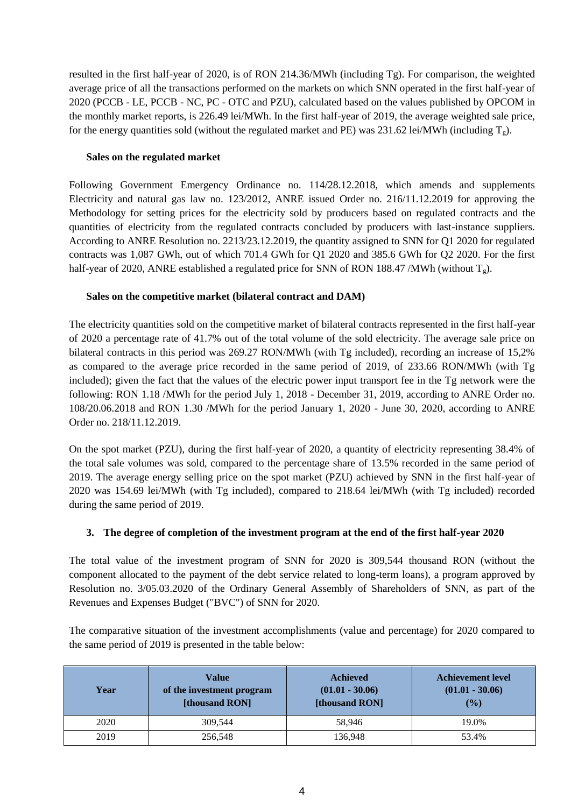resulted in the first half-year of 2020, is of RON 214.36/MWh (including Tg). For comparison, the weighted average price of all the transactions performed on the markets on which SNN operated in the first half-year of 2020 (PCCB - LE, PCCB - NC, PC - OTC and PZU), calculated based on the values published by OPCOM in the monthly market reports, is 226.49 lei/MWh. In the first half-year of 2019, the average weighted sale price, for the energy quantities sold (without the regulated market and PE) was 231.62 lei/MWh (including  $T_g$ ).

### **Sales on the regulated market**

Following Government Emergency Ordinance no. 114/28.12.2018, which amends and supplements Electricity and natural gas law no. 123/2012, ANRE issued Order no. 216/11.12.2019 for approving the Methodology for setting prices for the electricity sold by producers based on regulated contracts and the quantities of electricity from the regulated contracts concluded by producers with last-instance suppliers. According to ANRE Resolution no. 2213/23.12.2019, the quantity assigned to SNN for Q1 2020 for regulated contracts was 1,087 GWh, out of which 701.4 GWh for Q1 2020 and 385.6 GWh for Q2 2020. For the first half-year of 2020, ANRE established a regulated price for SNN of RON 188.47 /MWh (without  $T_g$ ).

# **Sales on the competitive market (bilateral contract and DAM)**

The electricity quantities sold on the competitive market of bilateral contracts represented in the first half-year of 2020 a percentage rate of 41.7% out of the total volume of the sold electricity. The average sale price on bilateral contracts in this period was 269.27 RON/MWh (with Tg included), recording an increase of 15,2% as compared to the average price recorded in the same period of 2019, of 233.66 RON/MWh (with Tg included); given the fact that the values of the electric power input transport fee in the Tg network were the following: RON 1.18 /MWh for the period July 1, 2018 - December 31, 2019, according to ANRE Order no. 108/20.06.2018 and RON 1.30 /MWh for the period January 1, 2020 - June 30, 2020, according to ANRE Order no. 218/11.12.2019.

On the spot market (PZU), during the first half-year of 2020, a quantity of electricity representing 38.4% of the total sale volumes was sold, compared to the percentage share of 13.5% recorded in the same period of 2019. The average energy selling price on the spot market (PZU) achieved by SNN in the first half-year of 2020 was 154.69 lei/MWh (with Tg included), compared to 218.64 lei/MWh (with Tg included) recorded during the same period of 2019.

### **3. The degree of completion of the investment program at the end of the first half-year 2020**

The total value of the investment program of SNN for 2020 is 309,544 thousand RON (without the component allocated to the payment of the debt service related to long-term loans), a program approved by Resolution no. 3/05.03.2020 of the Ordinary General Assembly of Shareholders of SNN, as part of the Revenues and Expenses Budget ("BVC") of SNN for 2020.

The comparative situation of the investment accomplishments (value and percentage) for 2020 compared to the same period of 2019 is presented in the table below:

| Year | Value<br>of the investment program<br>[thousand RON] | <b>Achieved</b><br>$(01.01 - 30.06)$<br>[thousand RON] | <b>Achievement level</b><br>$(01.01 - 30.06)$<br>(%) |
|------|------------------------------------------------------|--------------------------------------------------------|------------------------------------------------------|
| 2020 | 309.544                                              | 58.946                                                 | 19.0%                                                |
| 2019 | 256,548                                              | 136,948                                                | 53.4%                                                |